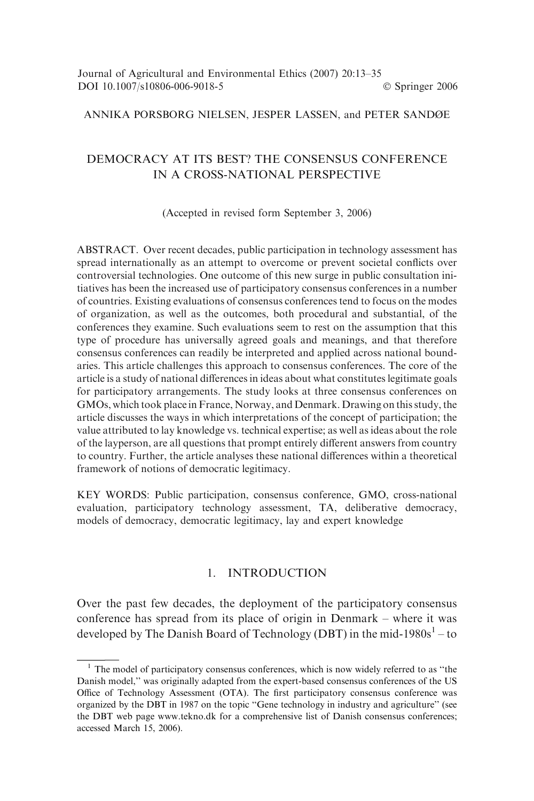#### ANNIKA PORSBORG NIELSEN, JESPER LASSEN, and PETER SANDØE

## DEMOCRACY AT ITS BEST? THE CONSENSUS CONFERENCE IN A CROSS-NATIONAL PERSPECTIVE

(Accepted in revised form September 3, 2006)

ABSTRACT. Over recent decades, public participation in technology assessment has spread internationally as an attempt to overcome or prevent societal conflicts over controversial technologies. One outcome of this new surge in public consultation initiatives has been the increased use of participatory consensus conferences in a number of countries. Existing evaluations of consensus conferences tend to focus on the modes of organization, as well as the outcomes, both procedural and substantial, of the conferences they examine. Such evaluations seem to rest on the assumption that this type of procedure has universally agreed goals and meanings, and that therefore consensus conferences can readily be interpreted and applied across national boundaries. This article challenges this approach to consensus conferences. The core of the article is a study of national differences in ideas about what constitutes legitimate goals for participatory arrangements. The study looks at three consensus conferences on GMOs, which took place in France, Norway, and Denmark. Drawing on this study, the article discusses the ways in which interpretations of the concept of participation; the value attributed to lay knowledge vs. technical expertise; as well as ideas about the role of the layperson, are all questions that prompt entirely different answers from country to country. Further, the article analyses these national differences within a theoretical framework of notions of democratic legitimacy.

KEY WORDS: Public participation, consensus conference, GMO, cross-national evaluation, participatory technology assessment, TA, deliberative democracy, models of democracy, democratic legitimacy, lay and expert knowledge

### 1. INTRODUCTION

Over the past few decades, the deployment of the participatory consensus conference has spread from its place of origin in Denmark – where it was developed by The Danish Board of Technology (DBT) in the mid-1980s<sup>1</sup> – to

 $1$  The model of participatory consensus conferences, which is now widely referred to as "the Danish model,'' was originally adapted from the expert-based consensus conferences of the US Office of Technology Assessment (OTA). The first participatory consensus conference was organized by the DBT in 1987 on the topic ''Gene technology in industry and agriculture'' (see the DBT web page www.tekno.dk for a comprehensive list of Danish consensus conferences; accessed March 15, 2006).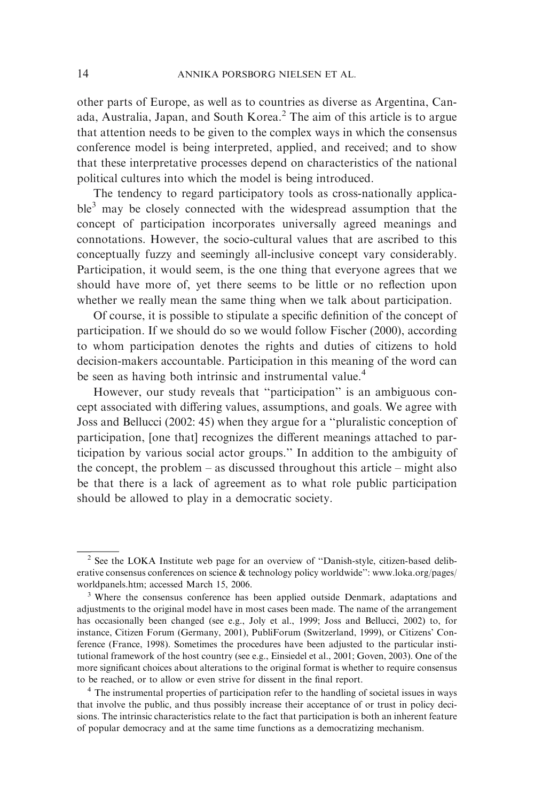other parts of Europe, as well as to countries as diverse as Argentina, Canada, Australia, Japan, and South Korea.<sup>2</sup> The aim of this article is to argue that attention needs to be given to the complex ways in which the consensus conference model is being interpreted, applied, and received; and to show that these interpretative processes depend on characteristics of the national political cultures into which the model is being introduced.

The tendency to regard participatory tools as cross-nationally applicable<sup>3</sup> may be closely connected with the widespread assumption that the concept of participation incorporates universally agreed meanings and connotations. However, the socio-cultural values that are ascribed to this conceptually fuzzy and seemingly all-inclusive concept vary considerably. Participation, it would seem, is the one thing that everyone agrees that we should have more of, yet there seems to be little or no reflection upon whether we really mean the same thing when we talk about participation.

Of course, it is possible to stipulate a specific definition of the concept of participation. If we should do so we would follow Fischer (2000), according to whom participation denotes the rights and duties of citizens to hold decision-makers accountable. Participation in this meaning of the word can be seen as having both intrinsic and instrumental value.<sup>4</sup>

However, our study reveals that ''participation'' is an ambiguous concept associated with differing values, assumptions, and goals. We agree with Joss and Bellucci (2002: 45) when they argue for a ''pluralistic conception of participation, [one that] recognizes the different meanings attached to participation by various social actor groups.'' In addition to the ambiguity of the concept, the problem – as discussed throughout this article – might also be that there is a lack of agreement as to what role public participation should be allowed to play in a democratic society.

<sup>&</sup>lt;sup>2</sup> See the LOKA Institute web page for an overview of "Danish-style, citizen-based deliberative consensus conferences on science & technology policy worldwide": www.loka.org/pages/ worldpanels.htm; accessed March 15, 2006.

<sup>&</sup>lt;sup>3</sup> Where the consensus conference has been applied outside Denmark, adaptations and adjustments to the original model have in most cases been made. The name of the arrangement has occasionally been changed (see e.g., Joly et al., 1999; Joss and Bellucci, 2002) to, for instance, Citizen Forum (Germany, 2001), PubliForum (Switzerland, 1999), or Citizens' Conference (France, 1998). Sometimes the procedures have been adjusted to the particular institutional framework of the host country (see e.g., Einsiedel et al., 2001; Goven, 2003). One of the more significant choices about alterations to the original format is whether to require consensus to be reached, or to allow or even strive for dissent in the final report.

<sup>&</sup>lt;sup>4</sup> The instrumental properties of participation refer to the handling of societal issues in ways that involve the public, and thus possibly increase their acceptance of or trust in policy decisions. The intrinsic characteristics relate to the fact that participation is both an inherent feature of popular democracy and at the same time functions as a democratizing mechanism.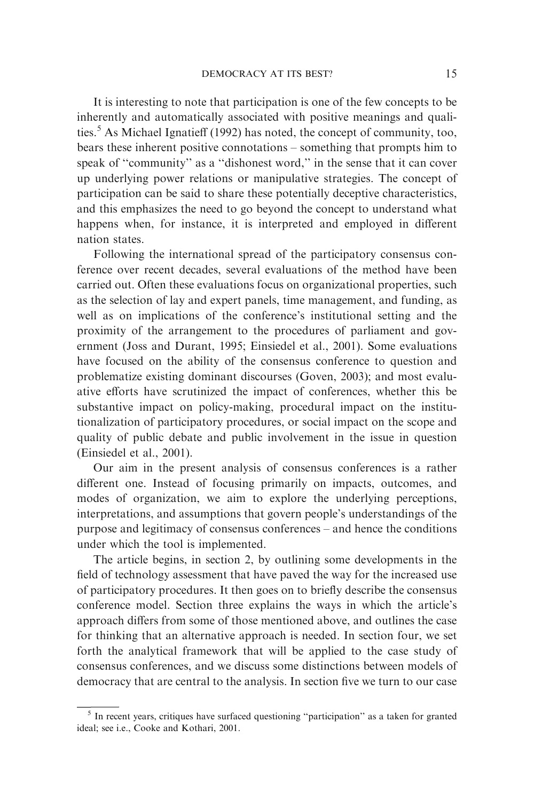It is interesting to note that participation is one of the few concepts to be inherently and automatically associated with positive meanings and qualities.<sup>5</sup> As Michael Ignatieff (1992) has noted, the concept of community, too, bears these inherent positive connotations – something that prompts him to speak of ''community'' as a ''dishonest word,'' in the sense that it can cover up underlying power relations or manipulative strategies. The concept of participation can be said to share these potentially deceptive characteristics, and this emphasizes the need to go beyond the concept to understand what happens when, for instance, it is interpreted and employed in different nation states.

Following the international spread of the participatory consensus conference over recent decades, several evaluations of the method have been carried out. Often these evaluations focus on organizational properties, such as the selection of lay and expert panels, time management, and funding, as well as on implications of the conference's institutional setting and the proximity of the arrangement to the procedures of parliament and government (Joss and Durant, 1995; Einsiedel et al., 2001). Some evaluations have focused on the ability of the consensus conference to question and problematize existing dominant discourses (Goven, 2003); and most evaluative efforts have scrutinized the impact of conferences, whether this be substantive impact on policy-making, procedural impact on the institutionalization of participatory procedures, or social impact on the scope and quality of public debate and public involvement in the issue in question (Einsiedel et al., 2001).

Our aim in the present analysis of consensus conferences is a rather different one. Instead of focusing primarily on impacts, outcomes, and modes of organization, we aim to explore the underlying perceptions, interpretations, and assumptions that govern people's understandings of the purpose and legitimacy of consensus conferences – and hence the conditions under which the tool is implemented.

The article begins, in section 2, by outlining some developments in the field of technology assessment that have paved the way for the increased use of participatory procedures. It then goes on to briefly describe the consensus conference model. Section three explains the ways in which the article's approach differs from some of those mentioned above, and outlines the case for thinking that an alternative approach is needed. In section four, we set forth the analytical framework that will be applied to the case study of consensus conferences, and we discuss some distinctions between models of democracy that are central to the analysis. In section five we turn to our case

<sup>&</sup>lt;sup>5</sup> In recent years, critiques have surfaced questioning "participation" as a taken for granted ideal; see i.e., Cooke and Kothari, 2001.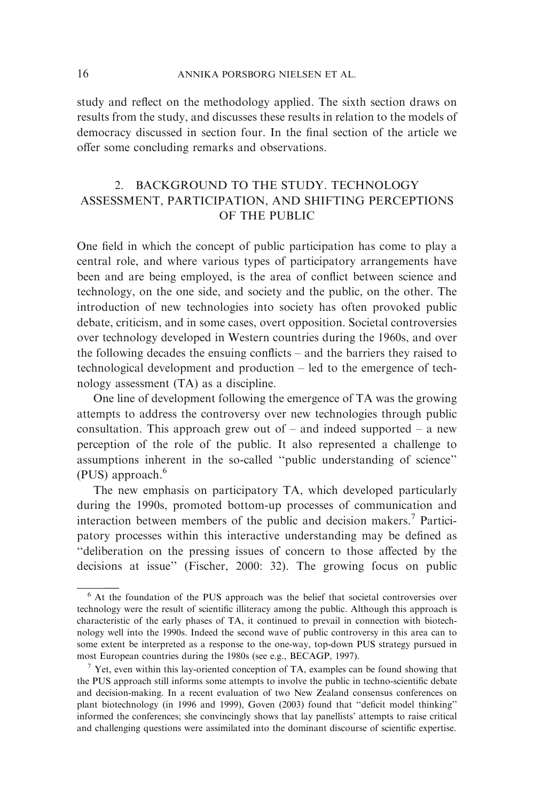study and reflect on the methodology applied. The sixth section draws on results from the study, and discusses these results in relation to the models of democracy discussed in section four. In the final section of the article we offer some concluding remarks and observations.

# 2. BACKGROUND TO THE STUDY. TECHNOLOGY ASSESSMENT, PARTICIPATION, AND SHIFTING PERCEPTIONS OF THE PUBLIC

One field in which the concept of public participation has come to play a central role, and where various types of participatory arrangements have been and are being employed, is the area of conflict between science and technology, on the one side, and society and the public, on the other. The introduction of new technologies into society has often provoked public debate, criticism, and in some cases, overt opposition. Societal controversies over technology developed in Western countries during the 1960s, and over the following decades the ensuing conflicts – and the barriers they raised to technological development and production – led to the emergence of technology assessment (TA) as a discipline.

One line of development following the emergence of TA was the growing attempts to address the controversy over new technologies through public consultation. This approach grew out of – and indeed supported – a new perception of the role of the public. It also represented a challenge to assumptions inherent in the so-called ''public understanding of science'' (PUS) approach. $<sup>6</sup>$ </sup>

The new emphasis on participatory TA, which developed particularly during the 1990s, promoted bottom-up processes of communication and interaction between members of the public and decision makers.<sup>7</sup> Participatory processes within this interactive understanding may be defined as ''deliberation on the pressing issues of concern to those affected by the decisions at issue'' (Fischer, 2000: 32). The growing focus on public

<sup>&</sup>lt;sup>6</sup> At the foundation of the PUS approach was the belief that societal controversies over technology were the result of scientific illiteracy among the public. Although this approach is characteristic of the early phases of TA, it continued to prevail in connection with biotechnology well into the 1990s. Indeed the second wave of public controversy in this area can to some extent be interpreted as a response to the one-way, top-down PUS strategy pursued in most European countries during the 1980s (see e.g., BECAGP, 1997).

<sup>&</sup>lt;sup>7</sup> Yet, even within this lay-oriented conception of TA, examples can be found showing that the PUS approach still informs some attempts to involve the public in techno-scientific debate and decision-making. In a recent evaluation of two New Zealand consensus conferences on plant biotechnology (in 1996 and 1999), Goven (2003) found that ''deficit model thinking'' informed the conferences; she convincingly shows that lay panellists' attempts to raise critical and challenging questions were assimilated into the dominant discourse of scientific expertise.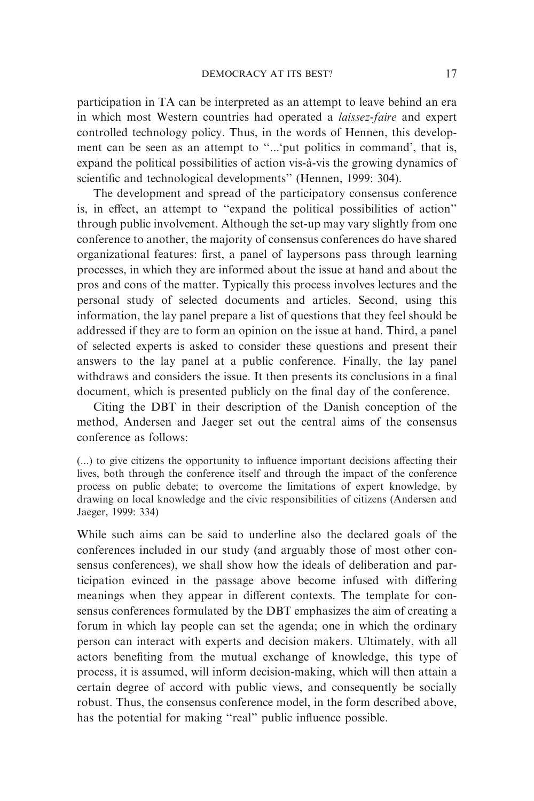participation in TA can be interpreted as an attempt to leave behind an era in which most Western countries had operated a *laissez-faire* and expert controlled technology policy. Thus, in the words of Hennen, this development can be seen as an attempt to "...'put politics in command', that is, expand the political possibilities of action vis-à-vis the growing dynamics of scientific and technological developments'' (Hennen, 1999: 304).

The development and spread of the participatory consensus conference is, in effect, an attempt to ''expand the political possibilities of action'' through public involvement. Although the set-up may vary slightly from one conference to another, the majority of consensus conferences do have shared organizational features: first, a panel of laypersons pass through learning processes, in which they are informed about the issue at hand and about the pros and cons of the matter. Typically this process involves lectures and the personal study of selected documents and articles. Second, using this information, the lay panel prepare a list of questions that they feel should be addressed if they are to form an opinion on the issue at hand. Third, a panel of selected experts is asked to consider these questions and present their answers to the lay panel at a public conference. Finally, the lay panel withdraws and considers the issue. It then presents its conclusions in a final document, which is presented publicly on the final day of the conference.

Citing the DBT in their description of the Danish conception of the method, Andersen and Jaeger set out the central aims of the consensus conference as follows:

(...) to give citizens the opportunity to influence important decisions affecting their lives, both through the conference itself and through the impact of the conference process on public debate; to overcome the limitations of expert knowledge, by drawing on local knowledge and the civic responsibilities of citizens (Andersen and Jaeger, 1999: 334)

While such aims can be said to underline also the declared goals of the conferences included in our study (and arguably those of most other consensus conferences), we shall show how the ideals of deliberation and participation evinced in the passage above become infused with differing meanings when they appear in different contexts. The template for consensus conferences formulated by the DBT emphasizes the aim of creating a forum in which lay people can set the agenda; one in which the ordinary person can interact with experts and decision makers. Ultimately, with all actors benefiting from the mutual exchange of knowledge, this type of process, it is assumed, will inform decision-making, which will then attain a certain degree of accord with public views, and consequently be socially robust. Thus, the consensus conference model, in the form described above, has the potential for making "real" public influence possible.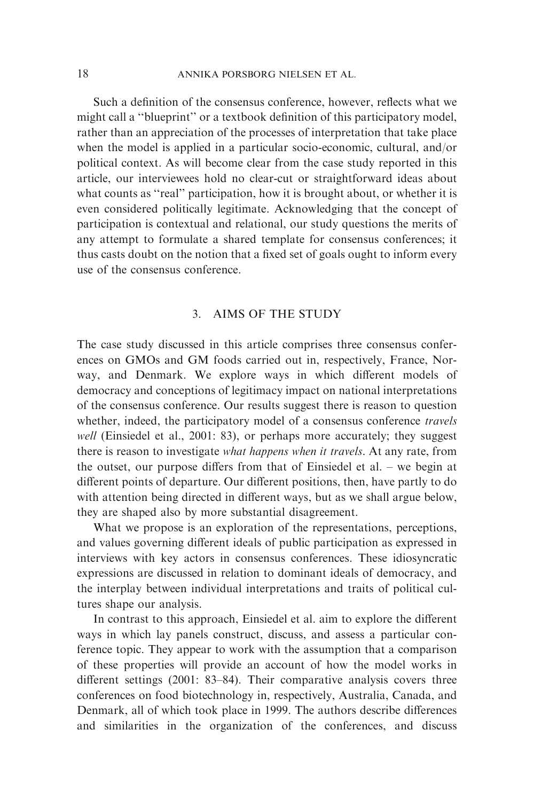### 18 ANNIKA PORSBORG NIELSEN ET AL.

Such a definition of the consensus conference, however, reflects what we might call a ''blueprint'' or a textbook definition of this participatory model, rather than an appreciation of the processes of interpretation that take place when the model is applied in a particular socio-economic, cultural, and/or political context. As will become clear from the case study reported in this article, our interviewees hold no clear-cut or straightforward ideas about what counts as "real" participation, how it is brought about, or whether it is even considered politically legitimate. Acknowledging that the concept of participation is contextual and relational, our study questions the merits of any attempt to formulate a shared template for consensus conferences; it thus casts doubt on the notion that a fixed set of goals ought to inform every use of the consensus conference.

### 3. AIMS OF THE STUDY

The case study discussed in this article comprises three consensus conferences on GMOs and GM foods carried out in, respectively, France, Norway, and Denmark. We explore ways in which different models of democracy and conceptions of legitimacy impact on national interpretations of the consensus conference. Our results suggest there is reason to question whether, indeed, the participatory model of a consensus conference *travels* well (Einsiedel et al., 2001: 83), or perhaps more accurately; they suggest there is reason to investigate what happens when it travels. At any rate, from the outset, our purpose differs from that of Einsiedel et al. – we begin at different points of departure. Our different positions, then, have partly to do with attention being directed in different ways, but as we shall argue below, they are shaped also by more substantial disagreement.

What we propose is an exploration of the representations, perceptions, and values governing different ideals of public participation as expressed in interviews with key actors in consensus conferences. These idiosyncratic expressions are discussed in relation to dominant ideals of democracy, and the interplay between individual interpretations and traits of political cultures shape our analysis.

In contrast to this approach, Einsiedel et al. aim to explore the different ways in which lay panels construct, discuss, and assess a particular conference topic. They appear to work with the assumption that a comparison of these properties will provide an account of how the model works in different settings (2001: 83–84). Their comparative analysis covers three conferences on food biotechnology in, respectively, Australia, Canada, and Denmark, all of which took place in 1999. The authors describe differences and similarities in the organization of the conferences, and discuss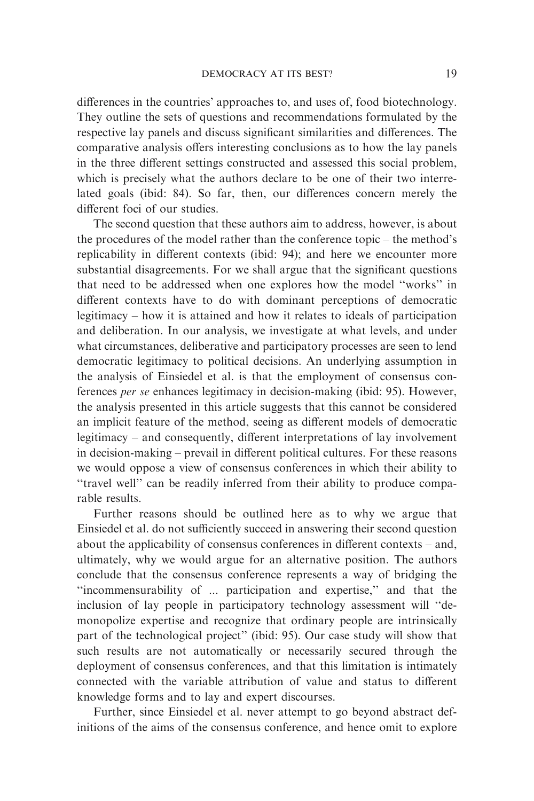differences in the countries' approaches to, and uses of, food biotechnology. They outline the sets of questions and recommendations formulated by the respective lay panels and discuss significant similarities and differences. The comparative analysis offers interesting conclusions as to how the lay panels in the three different settings constructed and assessed this social problem, which is precisely what the authors declare to be one of their two interrelated goals (ibid: 84). So far, then, our differences concern merely the different foci of our studies.

The second question that these authors aim to address, however, is about the procedures of the model rather than the conference topic – the method's replicability in different contexts (ibid: 94); and here we encounter more substantial disagreements. For we shall argue that the significant questions that need to be addressed when one explores how the model ''works'' in different contexts have to do with dominant perceptions of democratic legitimacy – how it is attained and how it relates to ideals of participation and deliberation. In our analysis, we investigate at what levels, and under what circumstances, deliberative and participatory processes are seen to lend democratic legitimacy to political decisions. An underlying assumption in the analysis of Einsiedel et al. is that the employment of consensus conferences per se enhances legitimacy in decision-making (ibid: 95). However, the analysis presented in this article suggests that this cannot be considered an implicit feature of the method, seeing as different models of democratic legitimacy – and consequently, different interpretations of lay involvement in decision-making – prevail in different political cultures. For these reasons we would oppose a view of consensus conferences in which their ability to ''travel well'' can be readily inferred from their ability to produce comparable results.

Further reasons should be outlined here as to why we argue that Einsiedel et al. do not sufficiently succeed in answering their second question about the applicability of consensus conferences in different contexts – and, ultimately, why we would argue for an alternative position. The authors conclude that the consensus conference represents a way of bridging the ''incommensurability of ... participation and expertise,'' and that the inclusion of lay people in participatory technology assessment will ''demonopolize expertise and recognize that ordinary people are intrinsically part of the technological project'' (ibid: 95). Our case study will show that such results are not automatically or necessarily secured through the deployment of consensus conferences, and that this limitation is intimately connected with the variable attribution of value and status to different knowledge forms and to lay and expert discourses.

Further, since Einsiedel et al. never attempt to go beyond abstract definitions of the aims of the consensus conference, and hence omit to explore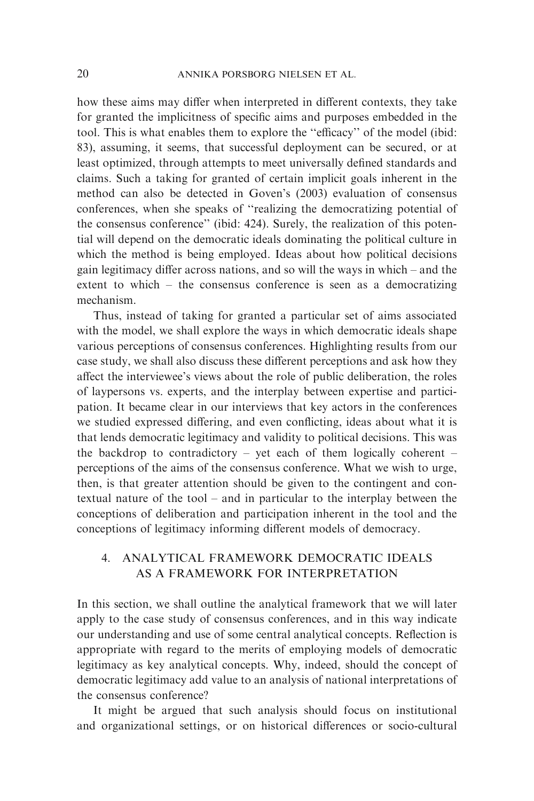how these aims may differ when interpreted in different contexts, they take for granted the implicitness of specific aims and purposes embedded in the tool. This is what enables them to explore the ''efficacy'' of the model (ibid: 83), assuming, it seems, that successful deployment can be secured, or at least optimized, through attempts to meet universally defined standards and claims. Such a taking for granted of certain implicit goals inherent in the method can also be detected in Goven's (2003) evaluation of consensus conferences, when she speaks of ''realizing the democratizing potential of the consensus conference'' (ibid: 424). Surely, the realization of this potential will depend on the democratic ideals dominating the political culture in which the method is being employed. Ideas about how political decisions gain legitimacy differ across nations, and so will the ways in which – and the extent to which – the consensus conference is seen as a democratizing mechanism.

Thus, instead of taking for granted a particular set of aims associated with the model, we shall explore the ways in which democratic ideals shape various perceptions of consensus conferences. Highlighting results from our case study, we shall also discuss these different perceptions and ask how they affect the interviewee's views about the role of public deliberation, the roles of laypersons vs. experts, and the interplay between expertise and participation. It became clear in our interviews that key actors in the conferences we studied expressed differing, and even conflicting, ideas about what it is that lends democratic legitimacy and validity to political decisions. This was the backdrop to contradictory – yet each of them logically coherent – perceptions of the aims of the consensus conference. What we wish to urge, then, is that greater attention should be given to the contingent and contextual nature of the tool – and in particular to the interplay between the conceptions of deliberation and participation inherent in the tool and the conceptions of legitimacy informing different models of democracy.

## 4. ANALYTICAL FRAMEWORK DEMOCRATIC IDEALS AS A FRAMEWORK FOR INTERPRETATION

In this section, we shall outline the analytical framework that we will later apply to the case study of consensus conferences, and in this way indicate our understanding and use of some central analytical concepts. Reflection is appropriate with regard to the merits of employing models of democratic legitimacy as key analytical concepts. Why, indeed, should the concept of democratic legitimacy add value to an analysis of national interpretations of the consensus conference?

It might be argued that such analysis should focus on institutional and organizational settings, or on historical differences or socio-cultural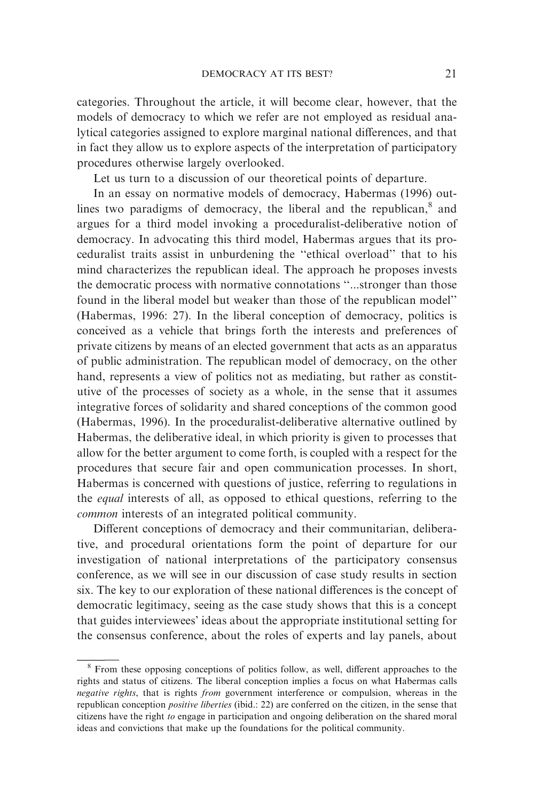categories. Throughout the article, it will become clear, however, that the models of democracy to which we refer are not employed as residual analytical categories assigned to explore marginal national differences, and that in fact they allow us to explore aspects of the interpretation of participatory procedures otherwise largely overlooked.

Let us turn to a discussion of our theoretical points of departure.

In an essay on normative models of democracy, Habermas (1996) outlines two paradigms of democracy, the liberal and the republican, $\delta$  and argues for a third model invoking a proceduralist-deliberative notion of democracy. In advocating this third model, Habermas argues that its proceduralist traits assist in unburdening the ''ethical overload'' that to his mind characterizes the republican ideal. The approach he proposes invests the democratic process with normative connotations ''...stronger than those found in the liberal model but weaker than those of the republican model'' (Habermas, 1996: 27). In the liberal conception of democracy, politics is conceived as a vehicle that brings forth the interests and preferences of private citizens by means of an elected government that acts as an apparatus of public administration. The republican model of democracy, on the other hand, represents a view of politics not as mediating, but rather as constitutive of the processes of society as a whole, in the sense that it assumes integrative forces of solidarity and shared conceptions of the common good (Habermas, 1996). In the proceduralist-deliberative alternative outlined by Habermas, the deliberative ideal, in which priority is given to processes that allow for the better argument to come forth, is coupled with a respect for the procedures that secure fair and open communication processes. In short, Habermas is concerned with questions of justice, referring to regulations in the equal interests of all, as opposed to ethical questions, referring to the common interests of an integrated political community.

Different conceptions of democracy and their communitarian, deliberative, and procedural orientations form the point of departure for our investigation of national interpretations of the participatory consensus conference, as we will see in our discussion of case study results in section six. The key to our exploration of these national differences is the concept of democratic legitimacy, seeing as the case study shows that this is a concept that guides interviewees' ideas about the appropriate institutional setting for the consensus conference, about the roles of experts and lay panels, about

<sup>&</sup>lt;sup>8</sup> From these opposing conceptions of politics follow, as well, different approaches to the rights and status of citizens. The liberal conception implies a focus on what Habermas calls negative rights, that is rights from government interference or compulsion, whereas in the republican conception positive liberties (ibid.: 22) are conferred on the citizen, in the sense that citizens have the right to engage in participation and ongoing deliberation on the shared moral ideas and convictions that make up the foundations for the political community.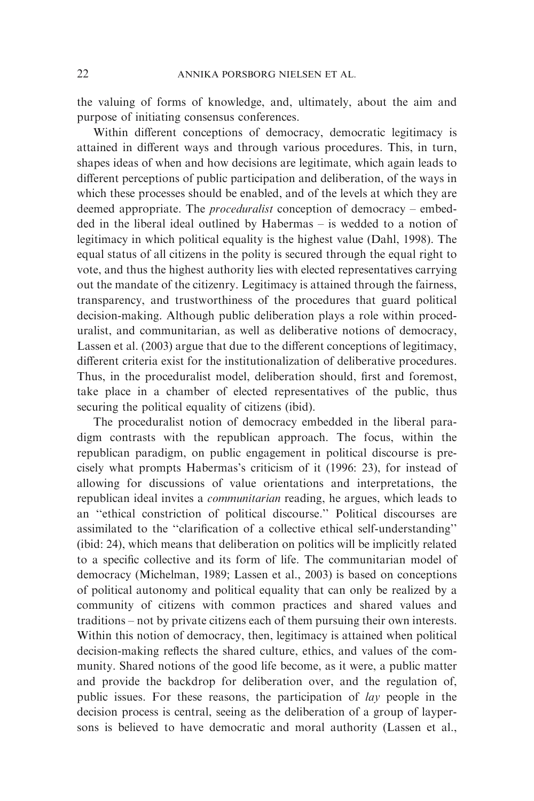the valuing of forms of knowledge, and, ultimately, about the aim and purpose of initiating consensus conferences.

Within different conceptions of democracy, democratic legitimacy is attained in different ways and through various procedures. This, in turn, shapes ideas of when and how decisions are legitimate, which again leads to different perceptions of public participation and deliberation, of the ways in which these processes should be enabled, and of the levels at which they are deemed appropriate. The *proceduralist* conception of democracy – embedded in the liberal ideal outlined by Habermas – is wedded to a notion of legitimacy in which political equality is the highest value (Dahl, 1998). The equal status of all citizens in the polity is secured through the equal right to vote, and thus the highest authority lies with elected representatives carrying out the mandate of the citizenry. Legitimacy is attained through the fairness, transparency, and trustworthiness of the procedures that guard political decision-making. Although public deliberation plays a role within proceduralist, and communitarian, as well as deliberative notions of democracy, Lassen et al. (2003) argue that due to the different conceptions of legitimacy, different criteria exist for the institutionalization of deliberative procedures. Thus, in the proceduralist model, deliberation should, first and foremost, take place in a chamber of elected representatives of the public, thus securing the political equality of citizens (ibid).

The proceduralist notion of democracy embedded in the liberal paradigm contrasts with the republican approach. The focus, within the republican paradigm, on public engagement in political discourse is precisely what prompts Habermas's criticism of it (1996: 23), for instead of allowing for discussions of value orientations and interpretations, the republican ideal invites a communitarian reading, he argues, which leads to an ''ethical constriction of political discourse.'' Political discourses are assimilated to the ''clarification of a collective ethical self-understanding'' (ibid: 24), which means that deliberation on politics will be implicitly related to a specific collective and its form of life. The communitarian model of democracy (Michelman, 1989; Lassen et al., 2003) is based on conceptions of political autonomy and political equality that can only be realized by a community of citizens with common practices and shared values and traditions – not by private citizens each of them pursuing their own interests. Within this notion of democracy, then, legitimacy is attained when political decision-making reflects the shared culture, ethics, and values of the community. Shared notions of the good life become, as it were, a public matter and provide the backdrop for deliberation over, and the regulation of, public issues. For these reasons, the participation of lay people in the decision process is central, seeing as the deliberation of a group of laypersons is believed to have democratic and moral authority (Lassen et al.,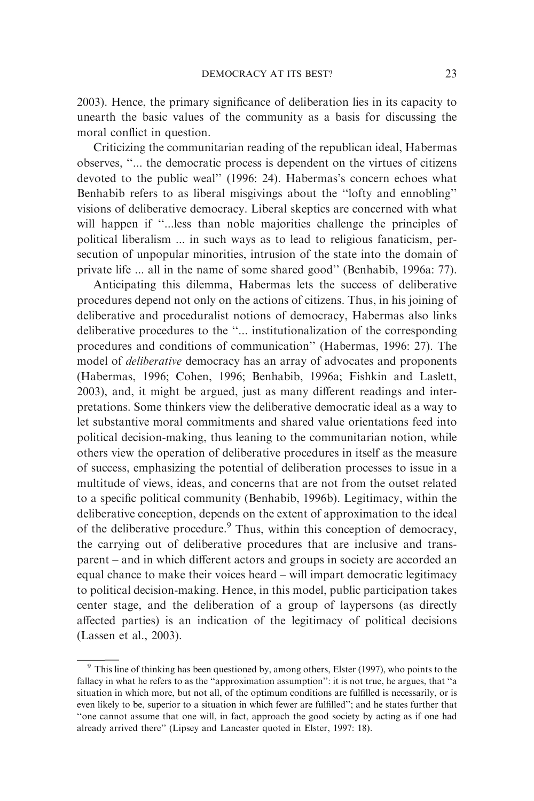2003). Hence, the primary significance of deliberation lies in its capacity to unearth the basic values of the community as a basis for discussing the moral conflict in question.

Criticizing the communitarian reading of the republican ideal, Habermas observes, ''... the democratic process is dependent on the virtues of citizens devoted to the public weal'' (1996: 24). Habermas's concern echoes what Benhabib refers to as liberal misgivings about the ''lofty and ennobling'' visions of deliberative democracy. Liberal skeptics are concerned with what will happen if "...less than noble majorities challenge the principles of political liberalism ... in such ways as to lead to religious fanaticism, persecution of unpopular minorities, intrusion of the state into the domain of private life ... all in the name of some shared good'' (Benhabib, 1996a: 77).

Anticipating this dilemma, Habermas lets the success of deliberative procedures depend not only on the actions of citizens. Thus, in his joining of deliberative and proceduralist notions of democracy, Habermas also links deliberative procedures to the ''... institutionalization of the corresponding procedures and conditions of communication'' (Habermas, 1996: 27). The model of *deliberative* democracy has an array of advocates and proponents (Habermas, 1996; Cohen, 1996; Benhabib, 1996a; Fishkin and Laslett, 2003), and, it might be argued, just as many different readings and interpretations. Some thinkers view the deliberative democratic ideal as a way to let substantive moral commitments and shared value orientations feed into political decision-making, thus leaning to the communitarian notion, while others view the operation of deliberative procedures in itself as the measure of success, emphasizing the potential of deliberation processes to issue in a multitude of views, ideas, and concerns that are not from the outset related to a specific political community (Benhabib, 1996b). Legitimacy, within the deliberative conception, depends on the extent of approximation to the ideal of the deliberative procedure.<sup>9</sup> Thus, within this conception of democracy, the carrying out of deliberative procedures that are inclusive and transparent – and in which different actors and groups in society are accorded an equal chance to make their voices heard – will impart democratic legitimacy to political decision-making. Hence, in this model, public participation takes center stage, and the deliberation of a group of laypersons (as directly affected parties) is an indication of the legitimacy of political decisions (Lassen et al., 2003).

 $9$  This line of thinking has been questioned by, among others, Elster (1997), who points to the fallacy in what he refers to as the ''approximation assumption'': it is not true, he argues, that ''a situation in which more, but not all, of the optimum conditions are fulfilled is necessarily, or is even likely to be, superior to a situation in which fewer are fulfilled''; and he states further that ''one cannot assume that one will, in fact, approach the good society by acting as if one had already arrived there'' (Lipsey and Lancaster quoted in Elster, 1997: 18).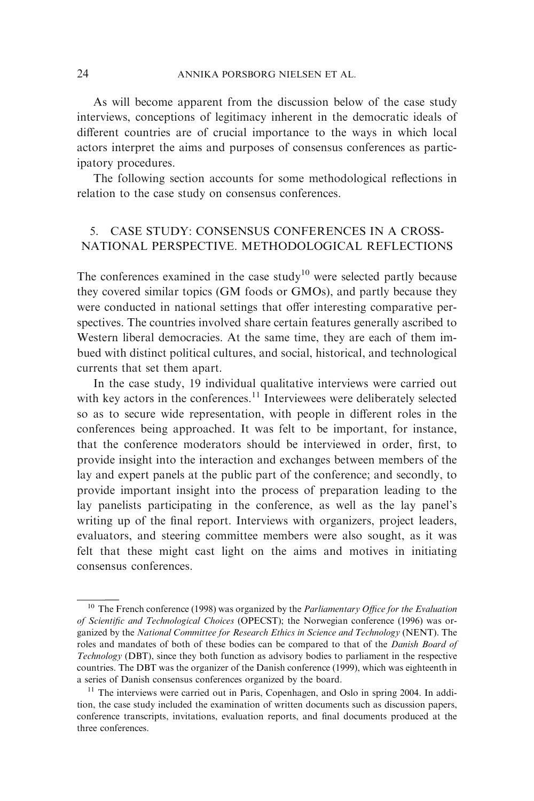As will become apparent from the discussion below of the case study interviews, conceptions of legitimacy inherent in the democratic ideals of different countries are of crucial importance to the ways in which local actors interpret the aims and purposes of consensus conferences as participatory procedures.

The following section accounts for some methodological reflections in relation to the case study on consensus conferences.

## 5. CASE STUDY: CONSENSUS CONFERENCES IN A CROSS-NATIONAL PERSPECTIVE. METHODOLOGICAL REFLECTIONS

The conferences examined in the case study<sup>10</sup> were selected partly because they covered similar topics (GM foods or GMOs), and partly because they were conducted in national settings that offer interesting comparative perspectives. The countries involved share certain features generally ascribed to Western liberal democracies. At the same time, they are each of them imbued with distinct political cultures, and social, historical, and technological currents that set them apart.

In the case study, 19 individual qualitative interviews were carried out with key actors in the conferences. $11$  Interviewees were deliberately selected so as to secure wide representation, with people in different roles in the conferences being approached. It was felt to be important, for instance, that the conference moderators should be interviewed in order, first, to provide insight into the interaction and exchanges between members of the lay and expert panels at the public part of the conference; and secondly, to provide important insight into the process of preparation leading to the lay panelists participating in the conference, as well as the lay panel's writing up of the final report. Interviews with organizers, project leaders, evaluators, and steering committee members were also sought, as it was felt that these might cast light on the aims and motives in initiating consensus conferences.

<sup>&</sup>lt;sup>10</sup> The French conference (1998) was organized by the *Parliamentary Office for the Evaluation* of Scientific and Technological Choices (OPECST); the Norwegian conference (1996) was organized by the National Committee for Research Ethics in Science and Technology (NENT). The roles and mandates of both of these bodies can be compared to that of the Danish Board of Technology (DBT), since they both function as advisory bodies to parliament in the respective countries. The DBT was the organizer of the Danish conference (1999), which was eighteenth in a series of Danish consensus conferences organized by the board.

<sup>&</sup>lt;sup>11</sup> The interviews were carried out in Paris, Copenhagen, and Oslo in spring 2004. In addition, the case study included the examination of written documents such as discussion papers, conference transcripts, invitations, evaluation reports, and final documents produced at the three conferences.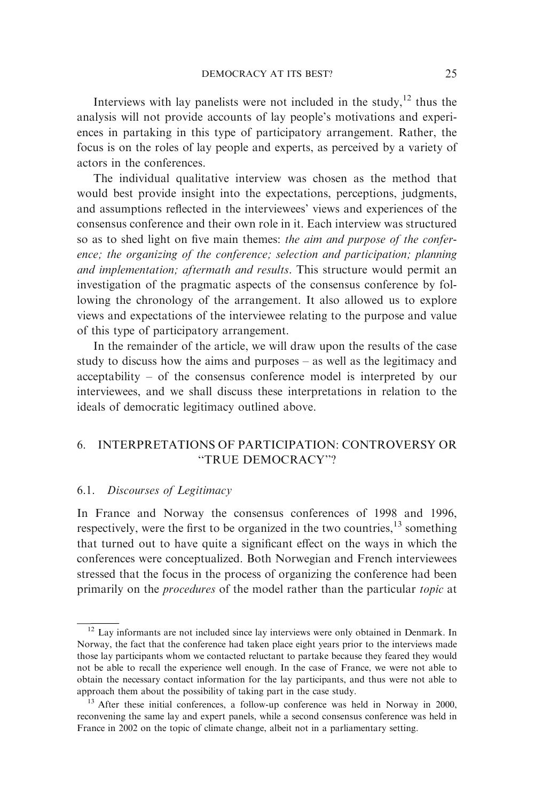Interviews with lay panelists were not included in the study, $12$  thus the analysis will not provide accounts of lay people's motivations and experiences in partaking in this type of participatory arrangement. Rather, the focus is on the roles of lay people and experts, as perceived by a variety of actors in the conferences.

The individual qualitative interview was chosen as the method that would best provide insight into the expectations, perceptions, judgments, and assumptions reflected in the interviewees' views and experiences of the consensus conference and their own role in it. Each interview was structured so as to shed light on five main themes: *the aim and purpose of the confer*ence; the organizing of the conference; selection and participation; planning and implementation; aftermath and results. This structure would permit an investigation of the pragmatic aspects of the consensus conference by following the chronology of the arrangement. It also allowed us to explore views and expectations of the interviewee relating to the purpose and value of this type of participatory arrangement.

In the remainder of the article, we will draw upon the results of the case study to discuss how the aims and purposes – as well as the legitimacy and acceptability – of the consensus conference model is interpreted by our interviewees, and we shall discuss these interpretations in relation to the ideals of democratic legitimacy outlined above.

## 6. INTERPRETATIONS OF PARTICIPATION: CONTROVERSY OR ''TRUE DEMOCRACY''?

#### 6.1. Discourses of Legitimacy

In France and Norway the consensus conferences of 1998 and 1996, respectively, were the first to be organized in the two countries,<sup>13</sup> something that turned out to have quite a significant effect on the ways in which the conferences were conceptualized. Both Norwegian and French interviewees stressed that the focus in the process of organizing the conference had been primarily on the *procedures* of the model rather than the particular *topic* at

<sup>&</sup>lt;sup>12</sup> Lav informants are not included since lay interviews were only obtained in Denmark. In Norway, the fact that the conference had taken place eight years prior to the interviews made those lay participants whom we contacted reluctant to partake because they feared they would not be able to recall the experience well enough. In the case of France, we were not able to obtain the necessary contact information for the lay participants, and thus were not able to approach them about the possibility of taking part in the case study.

<sup>&</sup>lt;sup>13</sup> After these initial conferences, a follow-up conference was held in Norway in 2000, reconvening the same lay and expert panels, while a second consensus conference was held in France in 2002 on the topic of climate change, albeit not in a parliamentary setting.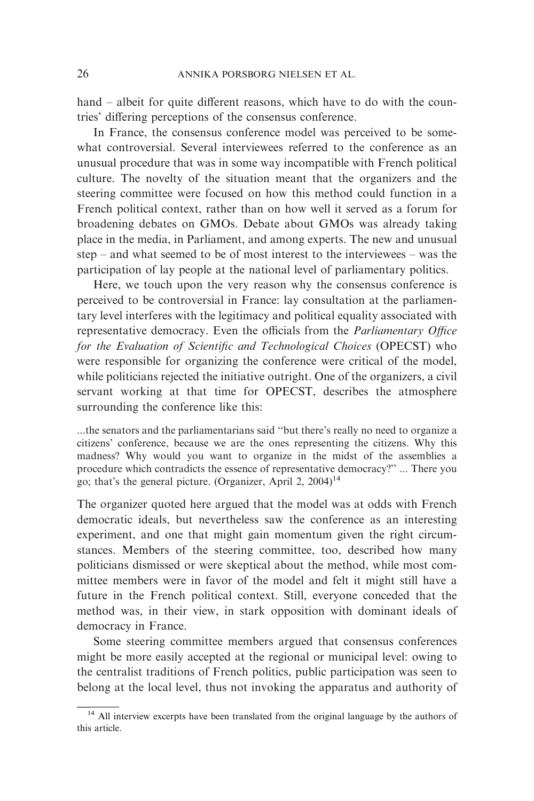hand – albeit for quite different reasons, which have to do with the countries' differing perceptions of the consensus conference.

In France, the consensus conference model was perceived to be somewhat controversial. Several interviewees referred to the conference as an unusual procedure that was in some way incompatible with French political culture. The novelty of the situation meant that the organizers and the steering committee were focused on how this method could function in a French political context, rather than on how well it served as a forum for broadening debates on GMOs. Debate about GMOs was already taking place in the media, in Parliament, and among experts. The new and unusual step – and what seemed to be of most interest to the interviewees – was the participation of lay people at the national level of parliamentary politics.

Here, we touch upon the very reason why the consensus conference is perceived to be controversial in France: lay consultation at the parliamentary level interferes with the legitimacy and political equality associated with representative democracy. Even the officials from the *Parliamentary Office* for the Evaluation of Scientific and Technological Choices (OPECST) who were responsible for organizing the conference were critical of the model, while politicians rejected the initiative outright. One of the organizers, a civil servant working at that time for OPECST, describes the atmosphere surrounding the conference like this:

...the senators and the parliamentarians said ''but there's really no need to organize a citizens' conference, because we are the ones representing the citizens. Why this madness? Why would you want to organize in the midst of the assemblies a procedure which contradicts the essence of representative democracy?'' ... There you go; that's the general picture. (Organizer, April 2,  $2004$ )<sup>14</sup>

The organizer quoted here argued that the model was at odds with French democratic ideals, but nevertheless saw the conference as an interesting experiment, and one that might gain momentum given the right circumstances. Members of the steering committee, too, described how many politicians dismissed or were skeptical about the method, while most committee members were in favor of the model and felt it might still have a future in the French political context. Still, everyone conceded that the method was, in their view, in stark opposition with dominant ideals of democracy in France.

Some steering committee members argued that consensus conferences might be more easily accepted at the regional or municipal level: owing to the centralist traditions of French politics, public participation was seen to belong at the local level, thus not invoking the apparatus and authority of

<sup>&</sup>lt;sup>14</sup> All interview excerpts have been translated from the original language by the authors of this article.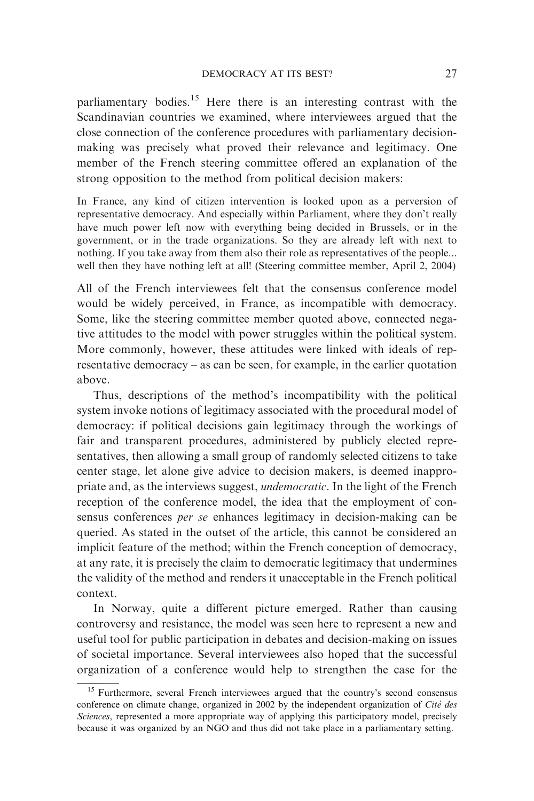parliamentary bodies.<sup>15</sup> Here there is an interesting contrast with the Scandinavian countries we examined, where interviewees argued that the close connection of the conference procedures with parliamentary decisionmaking was precisely what proved their relevance and legitimacy. One member of the French steering committee offered an explanation of the strong opposition to the method from political decision makers:

In France, any kind of citizen intervention is looked upon as a perversion of representative democracy. And especially within Parliament, where they don't really have much power left now with everything being decided in Brussels, or in the government, or in the trade organizations. So they are already left with next to nothing. If you take away from them also their role as representatives of the people... well then they have nothing left at all! (Steering committee member, April 2, 2004)

All of the French interviewees felt that the consensus conference model would be widely perceived, in France, as incompatible with democracy. Some, like the steering committee member quoted above, connected negative attitudes to the model with power struggles within the political system. More commonly, however, these attitudes were linked with ideals of representative democracy – as can be seen, for example, in the earlier quotation above.

Thus, descriptions of the method's incompatibility with the political system invoke notions of legitimacy associated with the procedural model of democracy: if political decisions gain legitimacy through the workings of fair and transparent procedures, administered by publicly elected representatives, then allowing a small group of randomly selected citizens to take center stage, let alone give advice to decision makers, is deemed inappropriate and, as the interviews suggest, undemocratic. In the light of the French reception of the conference model, the idea that the employment of consensus conferences per se enhances legitimacy in decision-making can be queried. As stated in the outset of the article, this cannot be considered an implicit feature of the method; within the French conception of democracy, at any rate, it is precisely the claim to democratic legitimacy that undermines the validity of the method and renders it unacceptable in the French political context.

In Norway, quite a different picture emerged. Rather than causing controversy and resistance, the model was seen here to represent a new and useful tool for public participation in debates and decision-making on issues of societal importance. Several interviewees also hoped that the successful organization of a conference would help to strengthen the case for the

<sup>&</sup>lt;sup>15</sup> Furthermore, several French interviewees argued that the country's second consensus conference on climate change, organized in 2002 by the independent organization of Cité des Sciences, represented a more appropriate way of applying this participatory model, precisely because it was organized by an NGO and thus did not take place in a parliamentary setting.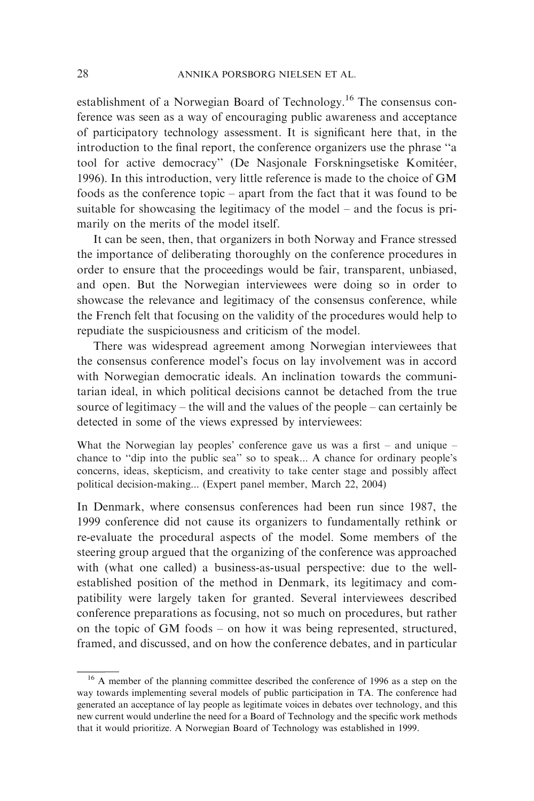establishment of a Norwegian Board of Technology.<sup>16</sup> The consensus conference was seen as a way of encouraging public awareness and acceptance of participatory technology assessment. It is significant here that, in the introduction to the final report, the conference organizers use the phrase ''a tool for active democracy" (De Nasjonale Forskningsetiske Komitéer, 1996). In this introduction, very little reference is made to the choice of GM foods as the conference topic – apart from the fact that it was found to be suitable for showcasing the legitimacy of the model – and the focus is primarily on the merits of the model itself.

It can be seen, then, that organizers in both Norway and France stressed the importance of deliberating thoroughly on the conference procedures in order to ensure that the proceedings would be fair, transparent, unbiased, and open. But the Norwegian interviewees were doing so in order to showcase the relevance and legitimacy of the consensus conference, while the French felt that focusing on the validity of the procedures would help to repudiate the suspiciousness and criticism of the model.

There was widespread agreement among Norwegian interviewees that the consensus conference model's focus on lay involvement was in accord with Norwegian democratic ideals. An inclination towards the communitarian ideal, in which political decisions cannot be detached from the true source of legitimacy – the will and the values of the people – can certainly be detected in some of the views expressed by interviewees:

What the Norwegian lay peoples' conference gave us was a first – and unique – chance to ''dip into the public sea'' so to speak... A chance for ordinary people's concerns, ideas, skepticism, and creativity to take center stage and possibly affect political decision-making... (Expert panel member, March 22, 2004)

In Denmark, where consensus conferences had been run since 1987, the 1999 conference did not cause its organizers to fundamentally rethink or re-evaluate the procedural aspects of the model. Some members of the steering group argued that the organizing of the conference was approached with (what one called) a business-as-usual perspective: due to the wellestablished position of the method in Denmark, its legitimacy and compatibility were largely taken for granted. Several interviewees described conference preparations as focusing, not so much on procedures, but rather on the topic of GM foods – on how it was being represented, structured, framed, and discussed, and on how the conference debates, and in particular

<sup>&</sup>lt;sup>16</sup> A member of the planning committee described the conference of 1996 as a step on the way towards implementing several models of public participation in TA. The conference had generated an acceptance of lay people as legitimate voices in debates over technology, and this new current would underline the need for a Board of Technology and the specific work methods that it would prioritize. A Norwegian Board of Technology was established in 1999.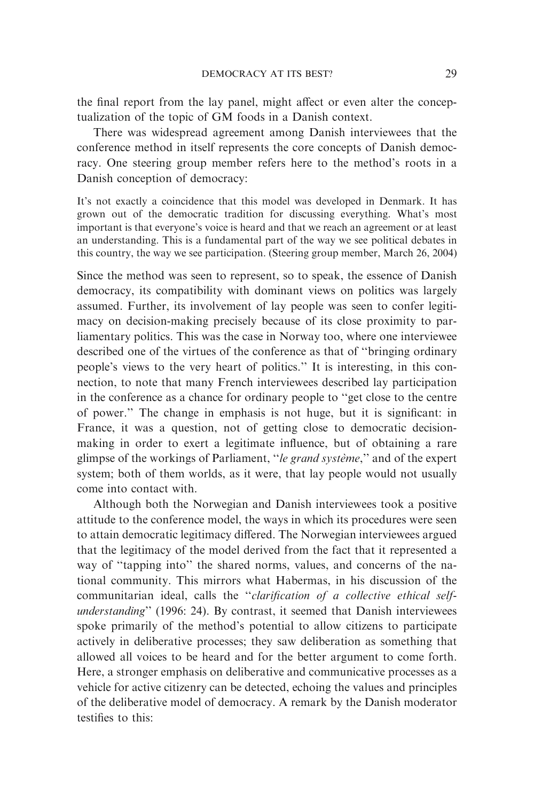the final report from the lay panel, might affect or even alter the conceptualization of the topic of GM foods in a Danish context.

There was widespread agreement among Danish interviewees that the conference method in itself represents the core concepts of Danish democracy. One steering group member refers here to the method's roots in a Danish conception of democracy:

It's not exactly a coincidence that this model was developed in Denmark. It has grown out of the democratic tradition for discussing everything. What's most important is that everyone's voice is heard and that we reach an agreement or at least an understanding. This is a fundamental part of the way we see political debates in this country, the way we see participation. (Steering group member, March 26, 2004)

Since the method was seen to represent, so to speak, the essence of Danish democracy, its compatibility with dominant views on politics was largely assumed. Further, its involvement of lay people was seen to confer legitimacy on decision-making precisely because of its close proximity to parliamentary politics. This was the case in Norway too, where one interviewee described one of the virtues of the conference as that of ''bringing ordinary people's views to the very heart of politics.'' It is interesting, in this connection, to note that many French interviewees described lay participation in the conference as a chance for ordinary people to ''get close to the centre of power.'' The change in emphasis is not huge, but it is significant: in France, it was a question, not of getting close to democratic decisionmaking in order to exert a legitimate influence, but of obtaining a rare glimpse of the workings of Parliament, "le grand système," and of the expert system; both of them worlds, as it were, that lay people would not usually come into contact with.

Although both the Norwegian and Danish interviewees took a positive attitude to the conference model, the ways in which its procedures were seen to attain democratic legitimacy differed. The Norwegian interviewees argued that the legitimacy of the model derived from the fact that it represented a way of ''tapping into'' the shared norms, values, and concerns of the national community. This mirrors what Habermas, in his discussion of the communitarian ideal, calls the "clarification of a collective ethical selfunderstanding'' (1996: 24). By contrast, it seemed that Danish interviewees spoke primarily of the method's potential to allow citizens to participate actively in deliberative processes; they saw deliberation as something that allowed all voices to be heard and for the better argument to come forth. Here, a stronger emphasis on deliberative and communicative processes as a vehicle for active citizenry can be detected, echoing the values and principles of the deliberative model of democracy. A remark by the Danish moderator testifies to this: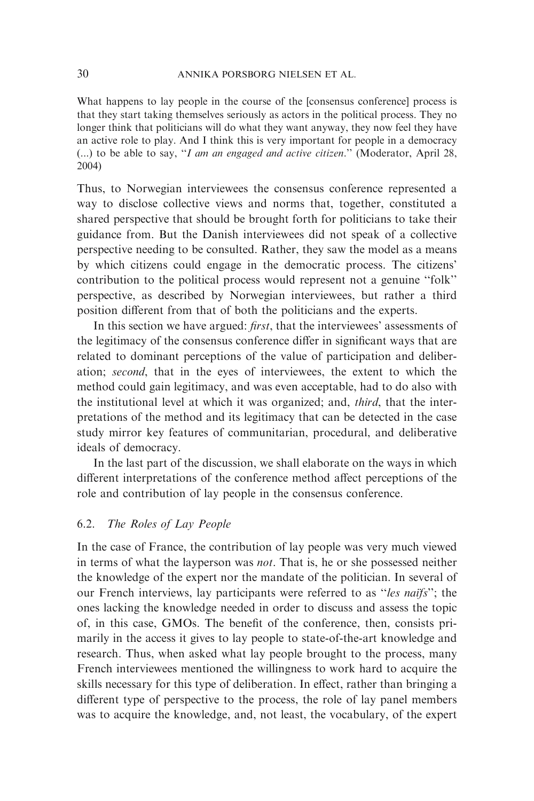What happens to lay people in the course of the [consensus conference] process is that they start taking themselves seriously as actors in the political process. They no longer think that politicians will do what they want anyway, they now feel they have an active role to play. And I think this is very important for people in a democracy (...) to be able to say, ''I am an engaged and active citizen.'' (Moderator, April 28, 2004)

Thus, to Norwegian interviewees the consensus conference represented a way to disclose collective views and norms that, together, constituted a shared perspective that should be brought forth for politicians to take their guidance from. But the Danish interviewees did not speak of a collective perspective needing to be consulted. Rather, they saw the model as a means by which citizens could engage in the democratic process. The citizens' contribution to the political process would represent not a genuine ''folk'' perspective, as described by Norwegian interviewees, but rather a third position different from that of both the politicians and the experts.

In this section we have argued: *first*, that the interviewees' assessments of the legitimacy of the consensus conference differ in significant ways that are related to dominant perceptions of the value of participation and deliberation; second, that in the eyes of interviewees, the extent to which the method could gain legitimacy, and was even acceptable, had to do also with the institutional level at which it was organized; and, third, that the interpretations of the method and its legitimacy that can be detected in the case study mirror key features of communitarian, procedural, and deliberative ideals of democracy.

In the last part of the discussion, we shall elaborate on the ways in which different interpretations of the conference method affect perceptions of the role and contribution of lay people in the consensus conference.

### 6.2. The Roles of Lay People

In the case of France, the contribution of lay people was very much viewed in terms of what the layperson was not. That is, he or she possessed neither the knowledge of the expert nor the mandate of the politician. In several of our French interviews, lay participants were referred to as "les naifs"; the ones lacking the knowledge needed in order to discuss and assess the topic of, in this case, GMOs. The benefit of the conference, then, consists primarily in the access it gives to lay people to state-of-the-art knowledge and research. Thus, when asked what lay people brought to the process, many French interviewees mentioned the willingness to work hard to acquire the skills necessary for this type of deliberation. In effect, rather than bringing a different type of perspective to the process, the role of lay panel members was to acquire the knowledge, and, not least, the vocabulary, of the expert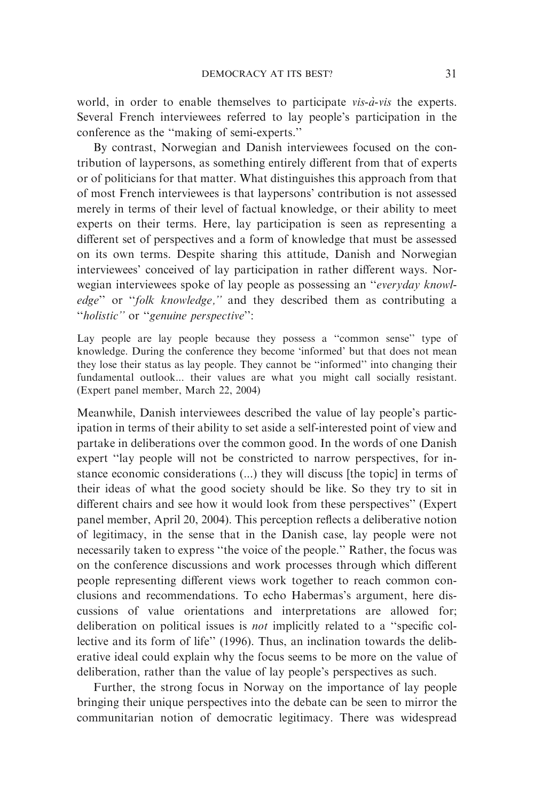world, in order to enable themselves to participate *vis-à-vis* the experts. Several French interviewees referred to lay people's participation in the conference as the ''making of semi-experts.''

By contrast, Norwegian and Danish interviewees focused on the contribution of laypersons, as something entirely different from that of experts or of politicians for that matter. What distinguishes this approach from that of most French interviewees is that laypersons' contribution is not assessed merely in terms of their level of factual knowledge, or their ability to meet experts on their terms. Here, lay participation is seen as representing a different set of perspectives and a form of knowledge that must be assessed on its own terms. Despite sharing this attitude, Danish and Norwegian interviewees' conceived of lay participation in rather different ways. Norwegian interviewees spoke of lay people as possessing an ''everyday knowledge'' or ''folk knowledge,'' and they described them as contributing a ''holistic'' or ''genuine perspective'':

Lay people are lay people because they possess a ''common sense'' type of knowledge. During the conference they become 'informed' but that does not mean they lose their status as lay people. They cannot be ''informed'' into changing their fundamental outlook... their values are what you might call socially resistant. (Expert panel member, March 22, 2004)

Meanwhile, Danish interviewees described the value of lay people's participation in terms of their ability to set aside a self-interested point of view and partake in deliberations over the common good. In the words of one Danish expert ''lay people will not be constricted to narrow perspectives, for instance economic considerations (...) they will discuss [the topic] in terms of their ideas of what the good society should be like. So they try to sit in different chairs and see how it would look from these perspectives'' (Expert panel member, April 20, 2004). This perception reflects a deliberative notion of legitimacy, in the sense that in the Danish case, lay people were not necessarily taken to express ''the voice of the people.'' Rather, the focus was on the conference discussions and work processes through which different people representing different views work together to reach common conclusions and recommendations. To echo Habermas's argument, here discussions of value orientations and interpretations are allowed for; deliberation on political issues is not implicitly related to a ''specific collective and its form of life'' (1996). Thus, an inclination towards the deliberative ideal could explain why the focus seems to be more on the value of deliberation, rather than the value of lay people's perspectives as such.

Further, the strong focus in Norway on the importance of lay people bringing their unique perspectives into the debate can be seen to mirror the communitarian notion of democratic legitimacy. There was widespread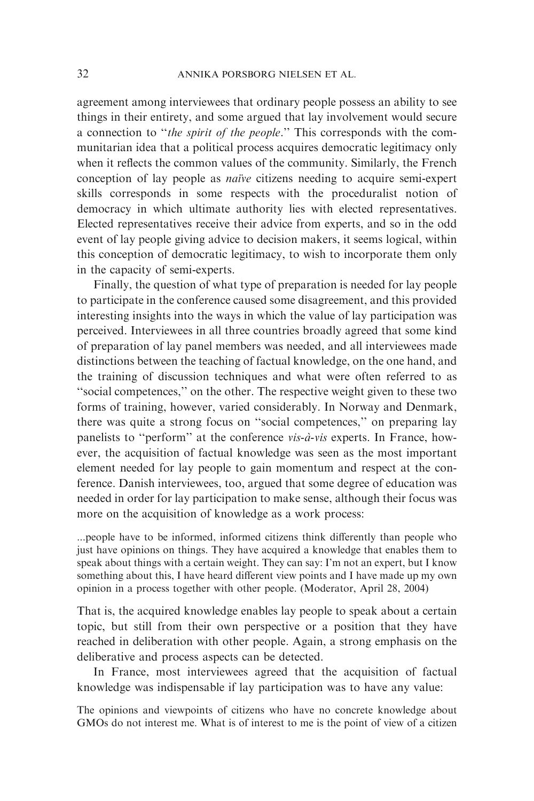agreement among interviewees that ordinary people possess an ability to see things in their entirety, and some argued that lay involvement would secure a connection to "*the spirit of the people*." This corresponds with the communitarian idea that a political process acquires democratic legitimacy only when it reflects the common values of the community. Similarly, the French conception of lay people as *naïve* citizens needing to acquire semi-expert skills corresponds in some respects with the proceduralist notion of democracy in which ultimate authority lies with elected representatives. Elected representatives receive their advice from experts, and so in the odd event of lay people giving advice to decision makers, it seems logical, within this conception of democratic legitimacy, to wish to incorporate them only in the capacity of semi-experts.

Finally, the question of what type of preparation is needed for lay people to participate in the conference caused some disagreement, and this provided interesting insights into the ways in which the value of lay participation was perceived. Interviewees in all three countries broadly agreed that some kind of preparation of lay panel members was needed, and all interviewees made distinctions between the teaching of factual knowledge, on the one hand, and the training of discussion techniques and what were often referred to as ''social competences,'' on the other. The respective weight given to these two forms of training, however, varied considerably. In Norway and Denmark, there was quite a strong focus on ''social competences,'' on preparing lay panelists to "perform" at the conference vis-à-vis experts. In France, however, the acquisition of factual knowledge was seen as the most important element needed for lay people to gain momentum and respect at the conference. Danish interviewees, too, argued that some degree of education was needed in order for lay participation to make sense, although their focus was more on the acquisition of knowledge as a work process:

...people have to be informed, informed citizens think differently than people who just have opinions on things. They have acquired a knowledge that enables them to speak about things with a certain weight. They can say: I'm not an expert, but I know something about this, I have heard different view points and I have made up my own opinion in a process together with other people. (Moderator, April 28, 2004)

That is, the acquired knowledge enables lay people to speak about a certain topic, but still from their own perspective or a position that they have reached in deliberation with other people. Again, a strong emphasis on the deliberative and process aspects can be detected.

In France, most interviewees agreed that the acquisition of factual knowledge was indispensable if lay participation was to have any value:

The opinions and viewpoints of citizens who have no concrete knowledge about GMOs do not interest me. What is of interest to me is the point of view of a citizen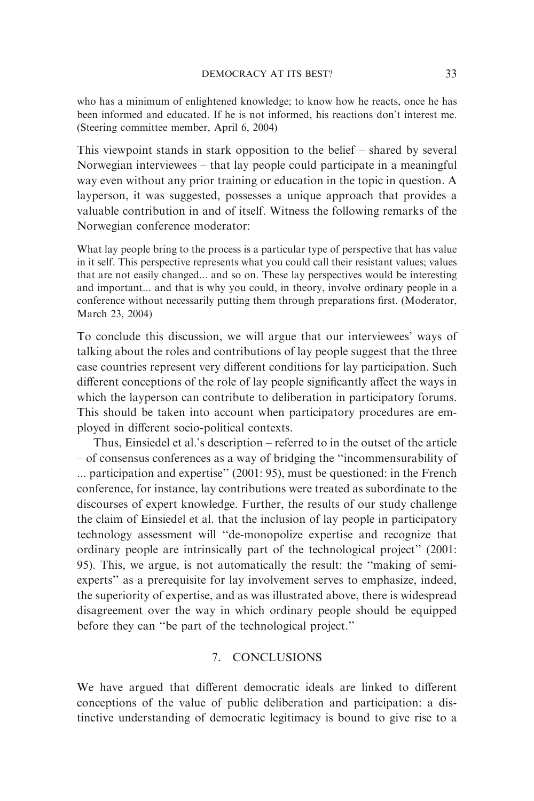who has a minimum of enlightened knowledge; to know how he reacts, once he has been informed and educated. If he is not informed, his reactions don't interest me. (Steering committee member, April 6, 2004)

This viewpoint stands in stark opposition to the belief – shared by several Norwegian interviewees – that lay people could participate in a meaningful way even without any prior training or education in the topic in question. A layperson, it was suggested, possesses a unique approach that provides a valuable contribution in and of itself. Witness the following remarks of the Norwegian conference moderator:

What lay people bring to the process is a particular type of perspective that has value in it self. This perspective represents what you could call their resistant values; values that are not easily changed... and so on. These lay perspectives would be interesting and important... and that is why you could, in theory, involve ordinary people in a conference without necessarily putting them through preparations first. (Moderator, March 23, 2004)

To conclude this discussion, we will argue that our interviewees' ways of talking about the roles and contributions of lay people suggest that the three case countries represent very different conditions for lay participation. Such different conceptions of the role of lay people significantly affect the ways in which the layperson can contribute to deliberation in participatory forums. This should be taken into account when participatory procedures are employed in different socio-political contexts.

Thus, Einsiedel et al.'s description – referred to in the outset of the article – of consensus conferences as a way of bridging the ''incommensurability of ... participation and expertise'' (2001: 95), must be questioned: in the French conference, for instance, lay contributions were treated as subordinate to the discourses of expert knowledge. Further, the results of our study challenge the claim of Einsiedel et al. that the inclusion of lay people in participatory technology assessment will ''de-monopolize expertise and recognize that ordinary people are intrinsically part of the technological project'' (2001: 95). This, we argue, is not automatically the result: the ''making of semiexperts'' as a prerequisite for lay involvement serves to emphasize, indeed, the superiority of expertise, and as was illustrated above, there is widespread disagreement over the way in which ordinary people should be equipped before they can ''be part of the technological project.''

## 7. CONCLUSIONS

We have argued that different democratic ideals are linked to different conceptions of the value of public deliberation and participation: a distinctive understanding of democratic legitimacy is bound to give rise to a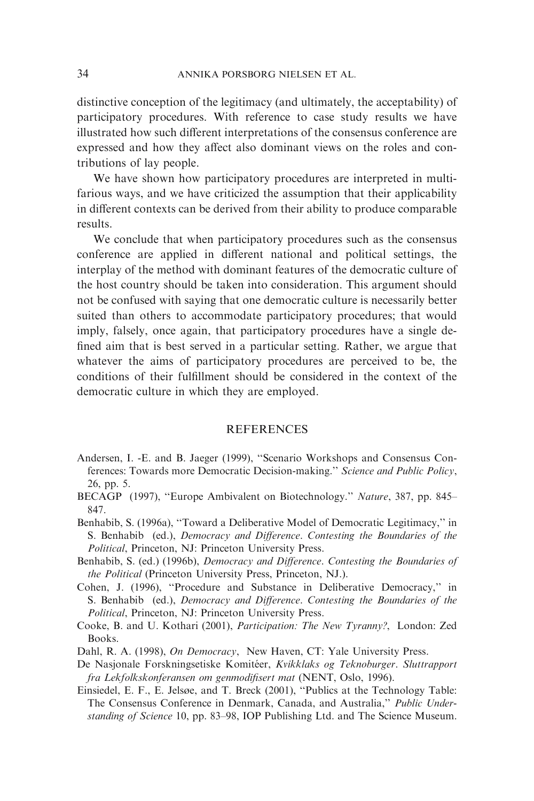distinctive conception of the legitimacy (and ultimately, the acceptability) of participatory procedures. With reference to case study results we have illustrated how such different interpretations of the consensus conference are expressed and how they affect also dominant views on the roles and contributions of lay people.

We have shown how participatory procedures are interpreted in multifarious ways, and we have criticized the assumption that their applicability in different contexts can be derived from their ability to produce comparable results.

We conclude that when participatory procedures such as the consensus conference are applied in different national and political settings, the interplay of the method with dominant features of the democratic culture of the host country should be taken into consideration. This argument should not be confused with saying that one democratic culture is necessarily better suited than others to accommodate participatory procedures; that would imply, falsely, once again, that participatory procedures have a single defined aim that is best served in a particular setting. Rather, we argue that whatever the aims of participatory procedures are perceived to be, the conditions of their fulfillment should be considered in the context of the democratic culture in which they are employed.

#### **REFERENCES**

- Andersen, I. -E. and B. Jaeger (1999), ''Scenario Workshops and Consensus Conferences: Towards more Democratic Decision-making.'' Science and Public Policy, 26, pp. 5.
- BECAGP (1997), "Europe Ambivalent on Biotechnology." Nature, 387, pp. 845– 847.
- Benhabib, S. (1996a), ''Toward a Deliberative Model of Democratic Legitimacy,'' in S. Benhabib (ed.), Democracy and Difference. Contesting the Boundaries of the Political, Princeton, NJ: Princeton University Press.
- Benhabib, S. (ed.) (1996b), Democracy and Difference. Contesting the Boundaries of the Political (Princeton University Press, Princeton, NJ.).
- Cohen, J. (1996), ''Procedure and Substance in Deliberative Democracy,'' in S. Benhabib (ed.), Democracy and Difference. Contesting the Boundaries of the Political, Princeton, NJ: Princeton University Press.
- Cooke, B. and U. Kothari (2001), Participation: The New Tyranny?, London: Zed Books.
- Dahl, R. A. (1998), On Democracy, New Haven, CT: Yale University Press.
- De Nasjonale Forskningsetiske Komitéer, Kvikklaks og Teknoburger. Sluttrapport fra Lekfolkskonferansen om genmodifisert mat (NENT, Oslo, 1996).
- Einsiedel, E. F., E. Jelsøe, and T. Breck (2001), ''Publics at the Technology Table: The Consensus Conference in Denmark, Canada, and Australia,'' Public Understanding of Science 10, pp. 83–98, IOP Publishing Ltd. and The Science Museum.